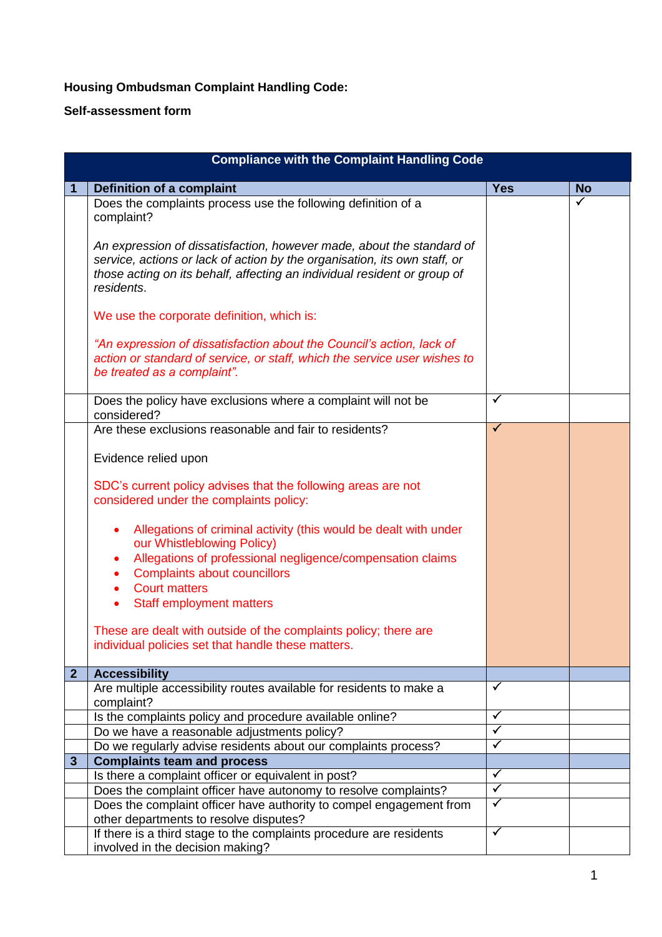## **Housing Ombudsman Complaint Handling Code:**

## **Self-assessment form**

| <b>Compliance with the Complaint Handling Code</b> |                                                                                                                                                                                                                                              |                      |                      |  |  |
|----------------------------------------------------|----------------------------------------------------------------------------------------------------------------------------------------------------------------------------------------------------------------------------------------------|----------------------|----------------------|--|--|
|                                                    | <b>Definition of a complaint</b>                                                                                                                                                                                                             | <b>Yes</b>           | <b>No</b>            |  |  |
|                                                    | Does the complaints process use the following definition of a<br>complaint?                                                                                                                                                                  |                      | $\blacktriangledown$ |  |  |
|                                                    | An expression of dissatisfaction, however made, about the standard of<br>service, actions or lack of action by the organisation, its own staff, or<br>those acting on its behalf, affecting an individual resident or group of<br>residents. |                      |                      |  |  |
|                                                    | We use the corporate definition, which is:                                                                                                                                                                                                   |                      |                      |  |  |
|                                                    | "An expression of dissatisfaction about the Council's action, lack of<br>action or standard of service, or staff, which the service user wishes to<br>be treated as a complaint".                                                            |                      |                      |  |  |
|                                                    | Does the policy have exclusions where a complaint will not be<br>considered?                                                                                                                                                                 | ✓                    |                      |  |  |
|                                                    | Are these exclusions reasonable and fair to residents?                                                                                                                                                                                       | $\checkmark$         |                      |  |  |
|                                                    | Evidence relied upon                                                                                                                                                                                                                         |                      |                      |  |  |
|                                                    | SDC's current policy advises that the following areas are not<br>considered under the complaints policy:                                                                                                                                     |                      |                      |  |  |
|                                                    | Allegations of criminal activity (this would be dealt with under<br>our Whistleblowing Policy)<br>Allegations of professional negligence/compensation claims<br>٠                                                                            |                      |                      |  |  |
|                                                    | <b>Complaints about councillors</b><br>٠<br><b>Court matters</b><br>$\bullet$                                                                                                                                                                |                      |                      |  |  |
|                                                    | <b>Staff employment matters</b><br>$\bullet$                                                                                                                                                                                                 |                      |                      |  |  |
|                                                    | These are dealt with outside of the complaints policy; there are<br>individual policies set that handle these matters.                                                                                                                       |                      |                      |  |  |
| 2 <sup>1</sup>                                     | <b>Accessibility</b>                                                                                                                                                                                                                         |                      |                      |  |  |
|                                                    | Are multiple accessibility routes available for residents to make a<br>complaint?                                                                                                                                                            | ✓                    |                      |  |  |
|                                                    | Is the complaints policy and procedure available online?                                                                                                                                                                                     | $\checkmark$         |                      |  |  |
|                                                    | Do we have a reasonable adjustments policy?                                                                                                                                                                                                  | ✓                    |                      |  |  |
|                                                    | Do we regularly advise residents about our complaints process?                                                                                                                                                                               | $\checkmark$         |                      |  |  |
| $\mathbf{3}$                                       | <b>Complaints team and process</b>                                                                                                                                                                                                           | ✓                    |                      |  |  |
|                                                    | Is there a complaint officer or equivalent in post?                                                                                                                                                                                          | $\blacktriangledown$ |                      |  |  |
|                                                    | Does the complaint officer have autonomy to resolve complaints?<br>Does the complaint officer have authority to compel engagement from                                                                                                       | ✓                    |                      |  |  |
|                                                    | other departments to resolve disputes?                                                                                                                                                                                                       |                      |                      |  |  |
|                                                    | If there is a third stage to the complaints procedure are residents<br>involved in the decision making?                                                                                                                                      | $\checkmark$         |                      |  |  |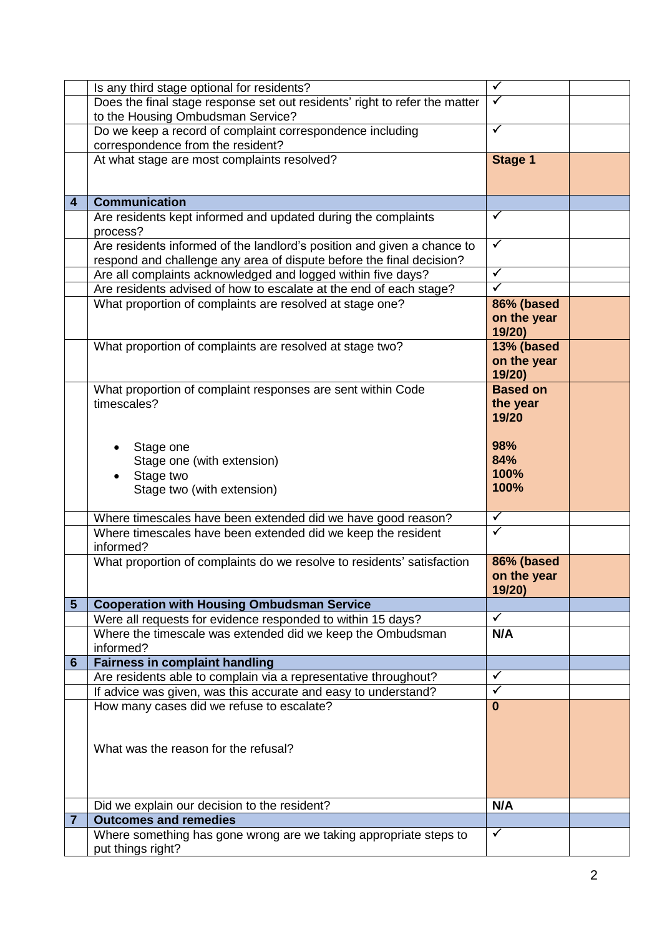|                         | Is any third stage optional for residents?                                 | $\checkmark$         |  |
|-------------------------|----------------------------------------------------------------------------|----------------------|--|
|                         | Does the final stage response set out residents' right to refer the matter | $\checkmark$         |  |
|                         | to the Housing Ombudsman Service?                                          |                      |  |
|                         | Do we keep a record of complaint correspondence including                  | ✓                    |  |
|                         | correspondence from the resident?                                          |                      |  |
|                         |                                                                            |                      |  |
|                         | At what stage are most complaints resolved?                                | <b>Stage 1</b>       |  |
|                         |                                                                            |                      |  |
|                         |                                                                            |                      |  |
| $\overline{\mathbf{4}}$ | <b>Communication</b>                                                       |                      |  |
|                         | Are residents kept informed and updated during the complaints              | $\checkmark$         |  |
|                         | process?                                                                   |                      |  |
|                         | Are residents informed of the landlord's position and given a chance to    | $\checkmark$         |  |
|                         |                                                                            |                      |  |
|                         | respond and challenge any area of dispute before the final decision?       | $\checkmark$         |  |
|                         | Are all complaints acknowledged and logged within five days?               |                      |  |
|                         | Are residents advised of how to escalate at the end of each stage?         | $\checkmark$         |  |
|                         | What proportion of complaints are resolved at stage one?                   | 86% (based           |  |
|                         |                                                                            | on the year          |  |
|                         |                                                                            | 19/20)               |  |
|                         | What proportion of complaints are resolved at stage two?                   | 13% (based           |  |
|                         |                                                                            | on the year          |  |
|                         |                                                                            | 19/20)               |  |
|                         |                                                                            |                      |  |
|                         | What proportion of complaint responses are sent within Code                | <b>Based on</b>      |  |
|                         | timescales?                                                                | the year             |  |
|                         |                                                                            | 19/20                |  |
|                         |                                                                            |                      |  |
|                         | Stage one                                                                  | 98%                  |  |
|                         | Stage one (with extension)                                                 | 84%                  |  |
|                         | Stage two                                                                  | 100%                 |  |
|                         |                                                                            | 100%                 |  |
|                         | Stage two (with extension)                                                 |                      |  |
|                         |                                                                            |                      |  |
|                         | Where timescales have been extended did we have good reason?               | $\checkmark$         |  |
|                         | Where timescales have been extended did we keep the resident               | $\checkmark$         |  |
|                         | informed?                                                                  |                      |  |
|                         | What proportion of complaints do we resolve to residents' satisfaction     | 86% (based           |  |
|                         |                                                                            | on the year          |  |
|                         |                                                                            | 19/20)               |  |
| $5\phantom{1}$          | <b>Cooperation with Housing Ombudsman Service</b>                          |                      |  |
|                         |                                                                            | $\checkmark$         |  |
|                         | Were all requests for evidence responded to within 15 days?                |                      |  |
|                         | Where the timescale was extended did we keep the Ombudsman                 | N/A                  |  |
|                         | informed?                                                                  |                      |  |
| $6\phantom{1}$          | <b>Fairness in complaint handling</b>                                      |                      |  |
|                         | Are residents able to complain via a representative throughout?            | $\checkmark$         |  |
|                         | If advice was given, was this accurate and easy to understand?             | $\blacktriangledown$ |  |
|                         | How many cases did we refuse to escalate?                                  | $\bf{0}$             |  |
|                         |                                                                            |                      |  |
|                         |                                                                            |                      |  |
|                         | What was the reason for the refusal?                                       |                      |  |
|                         |                                                                            |                      |  |
|                         |                                                                            |                      |  |
|                         |                                                                            |                      |  |
|                         |                                                                            |                      |  |
|                         | Did we explain our decision to the resident?                               | N/A                  |  |
| 7                       | <b>Outcomes and remedies</b>                                               |                      |  |
|                         | Where something has gone wrong are we taking appropriate steps to          | $\checkmark$         |  |
|                         | put things right?                                                          |                      |  |
|                         |                                                                            |                      |  |